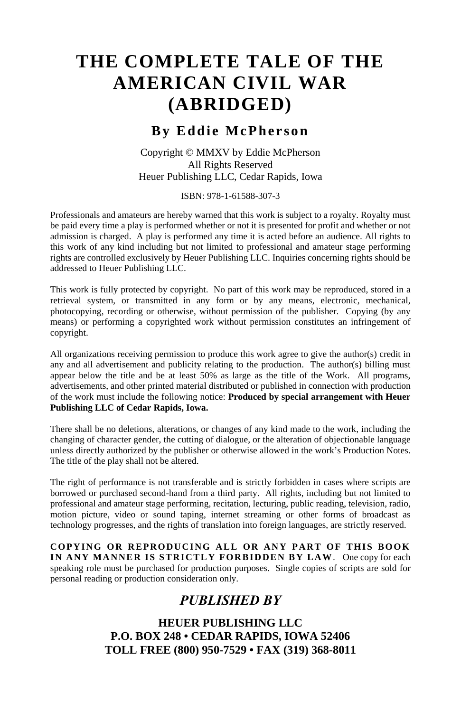## **By Eddie McPherson**

Copyright © MMXV by Eddie McPherson All Rights Reserved Heuer Publishing LLC, Cedar Rapids, Iowa

ISBN: 978-1-61588-307-3

Professionals and amateurs are hereby warned that this work is subject to a royalty. Royalty must be paid every time a play is performed whether or not it is presented for profit and whether or not admission is charged. A play is performed any time it is acted before an audience. All rights to this work of any kind including but not limited to professional and amateur stage performing rights are controlled exclusively by Heuer Publishing LLC. Inquiries concerning rights should be addressed to Heuer Publishing LLC.

This work is fully protected by copyright. No part of this work may be reproduced, stored in a retrieval system, or transmitted in any form or by any means, electronic, mechanical, photocopying, recording or otherwise, without permission of the publisher. Copying (by any means) or performing a copyrighted work without permission constitutes an infringement of copyright.

All organizations receiving permission to produce this work agree to give the author(s) credit in any and all advertisement and publicity relating to the production. The author(s) billing must appear below the title and be at least 50% as large as the title of the Work. All programs, advertisements, and other printed material distributed or published in connection with production of the work must include the following notice: **Produced by special arrangement with Heuer Publishing LLC of Cedar Rapids, Iowa.**

There shall be no deletions, alterations, or changes of any kind made to the work, including the changing of character gender, the cutting of dialogue, or the alteration of objectionable language unless directly authorized by the publisher or otherwise allowed in the work's Production Notes. The title of the play shall not be altered.

The right of performance is not transferable and is strictly forbidden in cases where scripts are borrowed or purchased second-hand from a third party. All rights, including but not limited to professional and amateur stage performing, recitation, lecturing, public reading, television, radio, motion picture, video or sound taping, internet streaming or other forms of broadcast as technology progresses, and the rights of translation into foreign languages, are strictly reserved.

**COPYING OR REPRODUCING ALL OR ANY PART OF THIS BOOK IN ANY MANNER IS STRICTLY FORBIDDEN BY LAW**. One copy for each speaking role must be purchased for production purposes. Single copies of scripts are sold for personal reading or production consideration only.

## *PUBLISHED BY*

**HEUER PUBLISHING LLC P.O. BOX 248 • CEDAR RAPIDS, IOWA 52406 TOLL FREE (800) 950-7529 • FAX (319) 368-8011**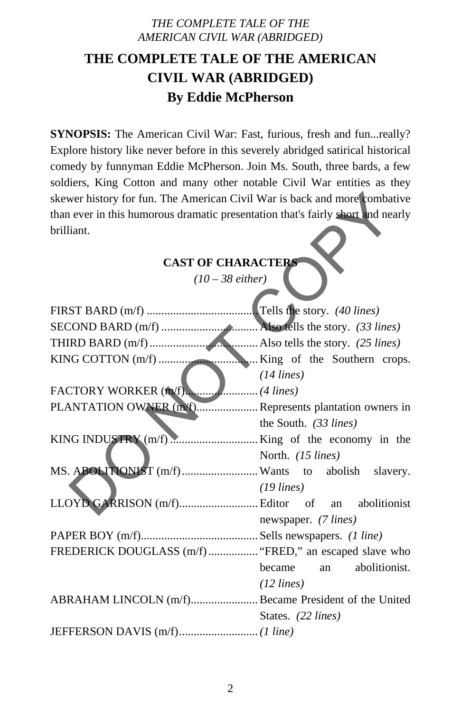# **THE COMPLETE TALE OF THE AMERICAN CIVIL WAR (ABRIDGED) By Eddie McPherson**

**SYNOPSIS:** The American Civil War: Fast, furious, fresh and fun...really? Explore history like never before in this severely abridged satirical historical comedy by funnyman Eddie McPherson. Join Ms. South, three bards, a few soldiers, King Cotton and many other notable Civil War entities as they skewer history for fun. The American Civil War is back and more combative than ever in this humorous dramatic presentation that's fairly short and nearly brilliant.

# **CAST OF CHARACTERS**

| skewer history for fun. The American Civil War is back and more combative       |                            |
|---------------------------------------------------------------------------------|----------------------------|
| than ever in this humorous dramatic presentation that's fairly short and nearly |                            |
| brilliant.                                                                      |                            |
| <b>CAST OF CHARACTERS</b>                                                       |                            |
| $(10-38$ either)                                                                |                            |
|                                                                                 |                            |
|                                                                                 |                            |
|                                                                                 |                            |
|                                                                                 |                            |
|                                                                                 | $(14 \text{ lines})$       |
|                                                                                 |                            |
| PLANTATION OWNER (m/f) Represents plantation owners in                          |                            |
|                                                                                 | the South. $(33 lines)$    |
|                                                                                 |                            |
|                                                                                 | North. (15 lines)          |
| MS. ABOLITIONIST (m/f) Wants to abolish slavery.                                |                            |
|                                                                                 | $(19$ lines)               |
|                                                                                 |                            |
|                                                                                 | newspaper. (7 lines)       |
|                                                                                 |                            |
| FREDERICK DOUGLASS (m/f) "FRED," an escaped slave who                           |                            |
|                                                                                 | became<br>an abolitionist. |
|                                                                                 | $(12 \text{ lines})$       |
| ABRAHAM LINCOLN (m/f)Became President of the United                             |                            |
|                                                                                 | States. (22 lines)         |
|                                                                                 |                            |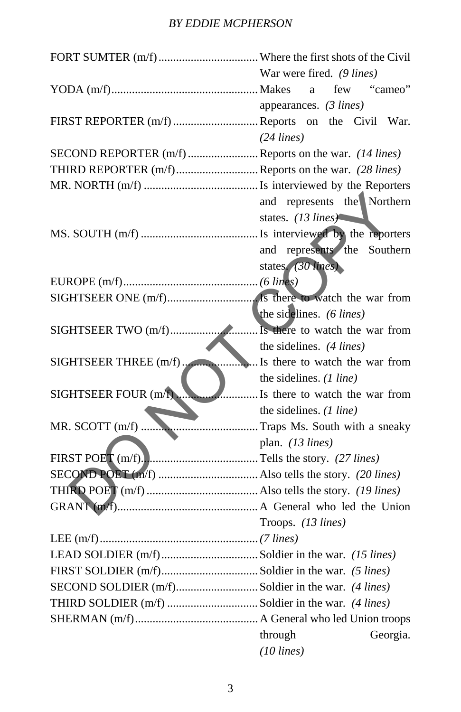## *BY EDDIE MCPHERSON*

|                      | War were fired. (9 lines)      |
|----------------------|--------------------------------|
|                      | few<br>"cameo"<br>a            |
|                      | appearances. $(3 lines)$       |
|                      |                                |
|                      | $(24$ lines)                   |
|                      |                                |
|                      |                                |
|                      |                                |
|                      | and represents the Northern    |
|                      | states. (13 lines)             |
|                      |                                |
|                      | and represents the Southern    |
|                      | states. (30 lines)             |
|                      |                                |
|                      |                                |
|                      | the sidelines. (6 lines)       |
|                      |                                |
|                      | the sidelines. $(4$ lines)     |
|                      |                                |
|                      | the sidelines. $(1$ line)      |
| SIGHTSEER FOUR (m/f) | Is there to watch the war from |
|                      | the sidelines. $(1$ line)      |
|                      |                                |
|                      | plan. $(13 \text{ lines})$     |
|                      |                                |
|                      |                                |
|                      |                                |
|                      |                                |
|                      | Troops. (13 lines)             |
|                      |                                |
|                      |                                |
|                      |                                |
|                      |                                |
|                      |                                |
|                      |                                |
|                      | through<br>Georgia.            |
|                      | $(10$ lines)                   |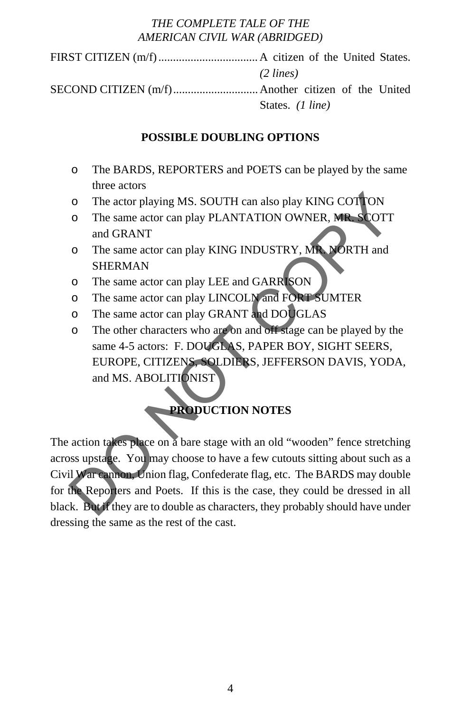FIRST CITIZEN (m/f) .................................. A citizen of the United States. *(2 lines)* SECOND CITIZEN (m/f) ............................. Another citizen of the United

States. *(1 line)* 

## **POSSIBLE DOUBLING OPTIONS**

- o The BARDS, REPORTERS and POETS can be played by the same three actors
- o The actor playing MS. SOUTH can also play KING COTTON
- o The same actor can play PLANTATION OWNER, MR. SCOTT and GRANT
- o The same actor can play KING INDUSTRY, MR. NORTH and SHERMAN
- o The same actor can play LEE and GARRISON
- o The same actor can play LINCOLN and FORT SUMTER
- o The same actor can play GRANT and DOUGLAS
- o The other characters who are on and off stage can be played by the same 4-5 actors: F. DOUGLAS, PAPER BOY, SIGHT SEERS, EUROPE, CITIZENS, SOLDIERS, JEFFERSON DAVIS, YODA, and MS. ABOLITIONIST

# **PRODUCTION NOTES**

The action takes place on a bare stage with an old "wooden" fence stretching across upstage. You may choose to have a few cutouts sitting about such as a Civil War cannon, Union flag, Confederate flag, etc. The BARDS may double for the Reporters and Poets. If this is the case, they could be dressed in all black. But if they are to double as characters, they probably should have under dressing the same as the rest of the cast. The actor playing MS. SOUTH can also play KING COTTON<br>
The same actor can play PLANTATION OWNER, MR SCOTT<br>
and GRANT<br>
The same actor can play LING INDUSTRY, MR NORTH and<br>
SHERMAN<br>
o The same actor can play LINCOLM and FORT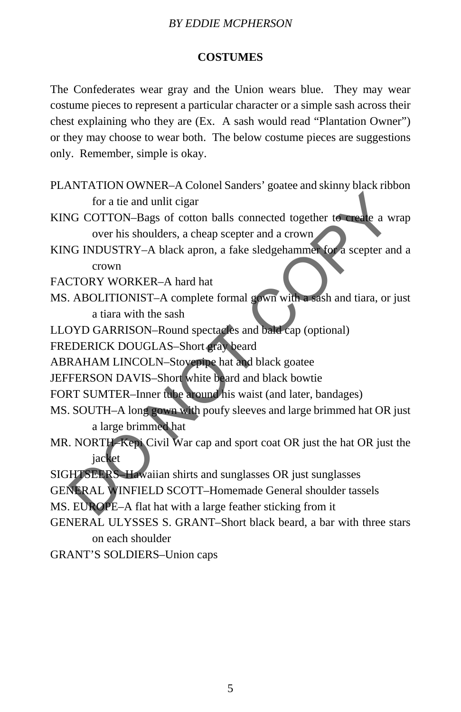#### *BY EDDIE MCPHERSON*

### **COSTUMES**

The Confederates wear gray and the Union wears blue. They may wear costume pieces to represent a particular character or a simple sash across their chest explaining who they are (Ex. A sash would read "Plantation Owner") or they may choose to wear both. The below costume pieces are suggestions only. Remember, simple is okay.

- PLANTATION OWNER–A Colonel Sanders' goatee and skinny black ribbon for a tie and unlit cigar
- KING COTTON–Bags of cotton balls connected together to create a wrap over his shoulders, a cheap scepter and a crown
- KING INDUSTRY–A black apron, a fake sledgehammer for a scepter and a crown For a tie and unlit cigar<br>
IG COTTON–Bags of cotton balls connected together to create a wra<br>
over his shoulders, a cheap scepter and a crown<br>
IG INDUSTRY–A black apron, a fake sledgehammer for a scepter and<br>
crown<br>
TORY W

FACTORY WORKER–A hard hat

- MS. ABOLITIONIST–A complete formal gown with a sash and tiara, or just a tiara with the sash
- LLOYD GARRISON–Round spectacles and bald cap (optional)

FREDERICK DOUGLAS–Short gray beard

ABRAHAM LINCOLN–Stovepipe hat and black goatee

JEFFERSON DAVIS–Short white beard and black bowtie

- FORT SUMTER–Inner tube around his waist (and later, bandages)
- MS. SOUTH–A long gown with poufy sleeves and large brimmed hat OR just a large brimmed hat
- MR. NORTH–Kepi Civil War cap and sport coat OR just the hat OR just the jacket
- SIGHTSEERS–Hawaiian shirts and sunglasses OR just sunglasses
- GENERAL WINFIELD SCOTT–Homemade General shoulder tassels
- MS. EUROPE–A flat hat with a large feather sticking from it
- GENERAL ULYSSES S. GRANT–Short black beard, a bar with three stars on each shoulder

GRANT'S SOLDIERS–Union caps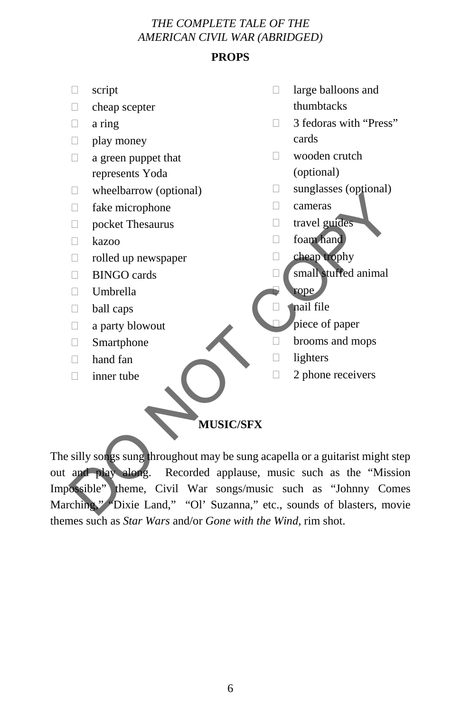## **PROPS**

- script
- cheap scepter
- $\Box$  a ring
- $\Box$  play money
- $\Box$  a green puppet that represents Yoda
- $\Box$  wheelbarrow (optional)
- fake microphone
- pocket Thesaurus
- $\Box$  kazoo
- rolled up newspaper
- **BINGO** cards
- $\Box$  Umbrella
- $\Box$  ball caps
- $\Box$  a party blowout
- Smartphone
- hand fan
- $\Box$  inner tube
- $\Box$  large balloons and thumbtacks
- □ 3 fedoras with "Press" cards
- wooden crutch (optional)
- $\Box$  sunglasses (optional)
- cameras
- travel guides
- foam hand
- cheap trophy
- **Small stuffed animal**
- rope
- $\Box$  and file
	- piece of paper
- brooms and mops
- $\Box$  lighters
- $\Box$  2 phone receivers

### **MUSIC/SFX**

The silly songs sung throughout may be sung acapella or a guitarist might step out and play along. Recorded applause, music such as the "Mission Impossible" theme, Civil War songs/music such as "Johnny Comes Marching," "Dixie Land," "Ol' Suzanna," etc., sounds of blasters, movie themes such as *Star Wars* and/or *Gone with the Wind,* rim shot. DO NOT COPY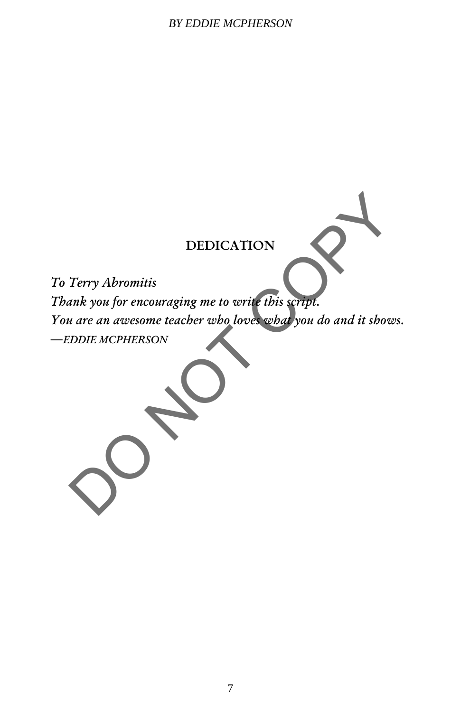#### *BY EDDIE MCPHERSON*

## DEDICATION

*To Terry Abromitis Thank you for encouraging me to write this script. You are an awesome teacher who loves what you do and it shows. ―EDDIE MCPHERSON* DEDICATION<br>Terry Abromitis<br>ank you for encouraging me to write this script.<br>a are an awesome teacher who loves what you do and it shows.<br>DDDIE MCPHERSON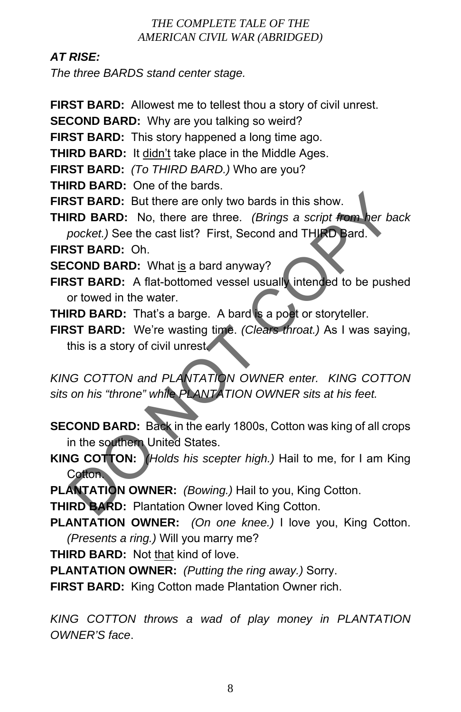## *AT RISE:*

*The three BARDS stand center stage.* 

- **FIRST BARD:** Allowest me to tellest thou a story of civil unrest.
- **SECOND BARD:** Why are you talking so weird?
- **FIRST BARD:** This story happened a long time ago.
- **THIRD BARD:** It didn't take place in the Middle Ages.
- **FIRST BARD:** *(To THIRD BARD.)* Who are you?
- **THIRD BARD:** One of the bards.
- **FIRST BARD:** But there are only two bards in this show.
- **THIRD BARD:** No, there are three. *(Brings a script from her back pocket.)* See the cast list? First, Second and THIRD Bard.
- **FIRST BARD:** Oh.
- **SECOND BARD:** What is a bard anyway?
- **FIRST BARD:** A flat-bottomed vessel usually intended to be pushed or towed in the water.
- **THIRD BARD:** That's a barge. A bard is a poet or storyteller.
- **FIRST BARD:** We're wasting time. *(Clears throat.)* As I was saying, this is a story of civil unrest.

*KING COTTON and PLANTATION OWNER enter. KING COTTON sits on his "throne" while PLANTATION OWNER sits at his feet.*  ST BARD: But there are only two bards in this show.<br>
RD BARD: No, there are three. (*Brings a script from her bac*<br>
pocket.) See the cast list? First, Second and THIRD Bard.<br>
ST BARD: Oh.<br>
COND BARD: What is a bard anyway?

- **SECOND BARD:** Back in the early 1800s, Cotton was king of all crops in the southern United States.
- **KING COTTON:** *(Holds his scepter high.)* Hail to me, for I am King Cotton.
- **PLANTATION OWNER:** *(Bowing.)* Hail to you, King Cotton.

**THIRD BARD:** Plantation Owner loved King Cotton.

- **PLANTATION OWNER:** *(On one knee.)* I love you, King Cotton. *(Presents a ring.)* Will you marry me?
- **THIRD BARD:** Not that kind of love.
- **PLANTATION OWNER:** *(Putting the ring away.)* Sorry.
- **FIRST BARD:** King Cotton made Plantation Owner rich.

*KING COTTON throws a wad of play money in PLANTATION OWNER'S face*.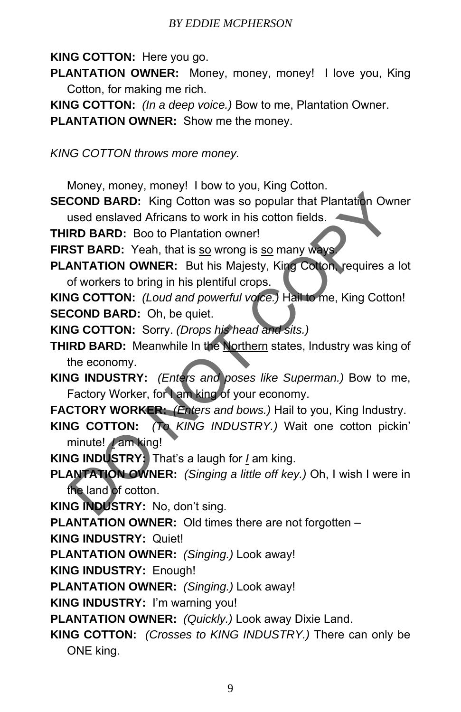## **KING COTTON:** Here you go.

- **PLANTATION OWNER:** Money, money, money! I love you, King Cotton, for making me rich.
- **KING COTTON:** *(In a deep voice.)* Bow to me, Plantation Owner.

**PLANTATION OWNER:** Show me the money.

*KING COTTON throws more money.* 

Money, money, money! I bow to you, King Cotton.

**SECOND BARD:** King Cotton was so popular that Plantation Owner used enslaved Africans to work in his cotton fields.

**THIRD BARD:** Boo to Plantation owner!

**FIRST BARD:** Yeah, that is so wrong is so many ways.

**PLANTATION OWNER:** But his Majesty, King Cotton, requires a lot of workers to bring in his plentiful crops.

**KING COTTON:** *(Loud and powerful voice.)* Hail to me, King Cotton! **SECOND BARD:** Oh, be quiet.

**KING COTTON:** Sorry. *(Drops his head and sits.)* 

**THIRD BARD:** Meanwhile In the Northern states, Industry was king of the economy.

**KING INDUSTRY:** *(Enters and poses like Superman.)* Bow to me, Factory Worker, for I am king of your economy.

**FACTORY WORKER:** *(Enters and bows.)* Hail to you, King Industry.

- **KING COTTON:** *(To KING INDUSTRY.)* Wait one cotton pickin' minute! *I* am king! COND BARD: King Cotton was so popular that Plantation Owne<br>
used enslaved Africans to work in his cotton fields.<br>
RD BARD: Boo to Plantation owner!<br>
ST BARD: Yeah, that is so wrong is so many wears<br>
NNTATION OWNER: But his
- **KING INDUSTRY:** That's a laugh for *I* am king.

**PLANTATION OWNER:** *(Singing a little off key.)* Oh, I wish I were in the land of cotton.

**KING INDUSTRY:** No, don't sing.

**PLANTATION OWNER:** Old times there are not forgotten –

**KING INDUSTRY:** Quiet!

**PLANTATION OWNER:** *(Singing.)* Look away!

**KING INDUSTRY:** Enough!

**PLANTATION OWNER:** *(Singing.)* Look away!

**KING INDUSTRY:** I'm warning you!

**PLANTATION OWNER:** *(Quickly.)* Look away Dixie Land.

**KING COTTON:** *(Crosses to KING INDUSTRY.)* There can only be ONE king.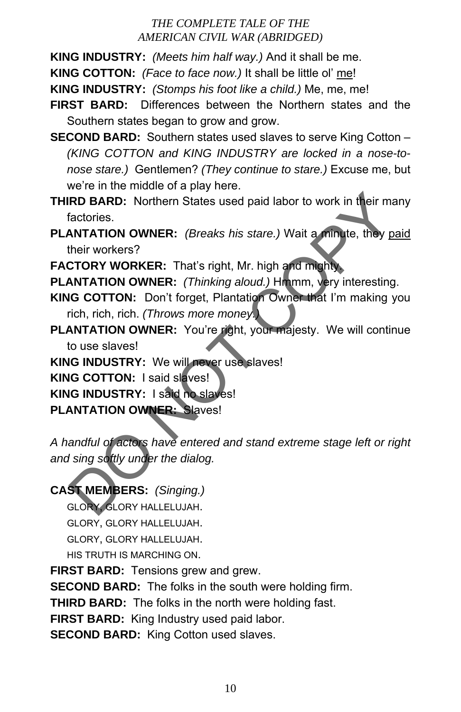**KING INDUSTRY:** *(Meets him half way.)* And it shall be me.

**KING COTTON:** *(Face to face now.)* It shall be little ol' me!

**KING INDUSTRY:** *(Stomps his foot like a child.)* Me, me, me!

**FIRST BARD:** Differences between the Northern states and the Southern states began to grow and grow.

**SECOND BARD:** Southern states used slaves to serve King Cotton – *(KING COTTON and KING INDUSTRY are locked in a nose-tonose stare.)* Gentlemen? *(They continue to stare.)* Excuse me, but we're in the middle of a play here.

**THIRD BARD:** Northern States used paid labor to work in their many factories.

**PLANTATION OWNER:** *(Breaks his stare.)* Wait a minute, they paid their workers?

**FACTORY WORKER:** That's right, Mr. high and mighty.

**PLANTATION OWNER:** *(Thinking aloud.)* Hmmm, very interesting.

- **KING COTTON:** Don't forget, Plantation Owner that I'm making you rich, rich, rich. *(Throws more money.)*
- PLANTATION OWNER: You're right, your majesty. We will continue to use slaves!

**KING INDUSTRY:** We will never use slaves!

**KING COTTON:** I said slaves!

**KING INDUSTRY:** I said no slaves!

**PLANTATION OWNER:** Slaves!

*A handful of actors have entered and stand extreme stage left or right and sing softly under the dialog.*  RD BARD: Northern States used paid labor to work in their many<br>factories.<br> **ANTATION OWNER:** (*Breaks his stare.*) Wait a minute, they paid<br>
their workers?<br> **COPY WORKER:** That's right, Mr. high and mighty<br> **ANTATION OWNER** 

## **CAST MEMBERS:** *(Singing.)*

GLORY, GLORY HALLELUJAH. GLORY, GLORY HALLELUJAH. GLORY, GLORY HALLELUJAH. HIS TRUTH IS MARCHING ON.

**FIRST BARD:** Tensions grew and grew.

**SECOND BARD:** The folks in the south were holding firm.

**THIRD BARD:** The folks in the north were holding fast.

**FIRST BARD:** King Industry used paid labor.

**SECOND BARD:** King Cotton used slaves.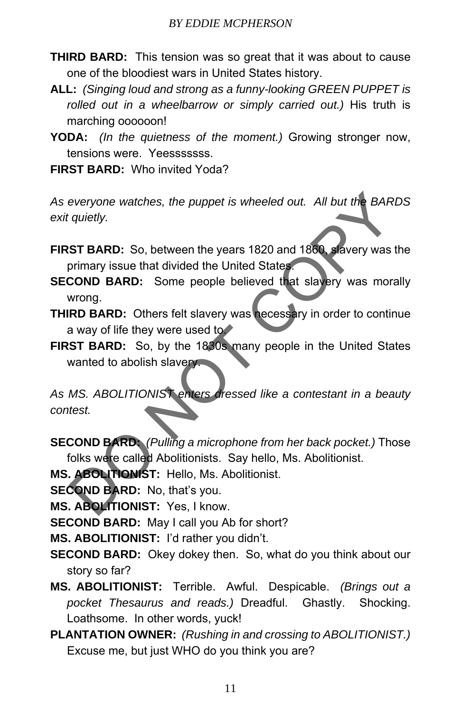- **THIRD BARD:** This tension was so great that it was about to cause one of the bloodiest wars in United States history.
- **ALL:** *(Singing loud and strong as a funny-looking GREEN PUPPET is rolled out in a wheelbarrow or simply carried out.)* His truth is marching oooooon!
- **YODA:** *(In the quietness of the moment.)* Growing stronger now, tensions were. Yeesssssss.

**FIRST BARD:** Who invited Yoda?

*As everyone watches, the puppet is wheeled out. All but the BARDS exit quietly.* 

**FIRST BARD:** So, between the years 1820 and 1860, slavery was the primary issue that divided the United States.

- **SECOND BARD:** Some people believed that slavery was morally wrong.
- **THIRD BARD:** Others felt slavery was necessary in order to continue a way of life they were used to.

**FIRST BARD:** So, by the 1830s many people in the United States wanted to abolish slavery.

*As MS. ABOLITIONIST enters dressed like a contestant in a beauty contest.*  everyone watches, the puppet is wheeled out. All but the BARD:<br>
squietly.<br>
ST BARD: So, between the years 1820 and 1880. Severy was the<br>
primary issue that divided the United States.<br>
MOTOR BARD: Some people believed that

**SECOND BARD:** *(Pulling a microphone from her back pocket.)* Those folks were called Abolitionists. Say hello, Ms. Abolitionist.

**MS. ABOLITIONIST:** Hello, Ms. Abolitionist.

**SECOND BARD:** No, that's you.

**MS. ABOLITIONIST:** Yes, I know.

**SECOND BARD:** May I call you Ab for short?

**MS. ABOLITIONIST:** I'd rather you didn't.

- **SECOND BARD:** Okey dokey then. So, what do you think about our story so far?
- **MS. ABOLITIONIST:** Terrible. Awful. Despicable. *(Brings out a pocket Thesaurus and reads.)* Dreadful. Ghastly. Shocking. Loathsome. In other words, yuck!
- **PLANTATION OWNER:** *(Rushing in and crossing to ABOLITIONIST.)* Excuse me, but just WHO do you think you are?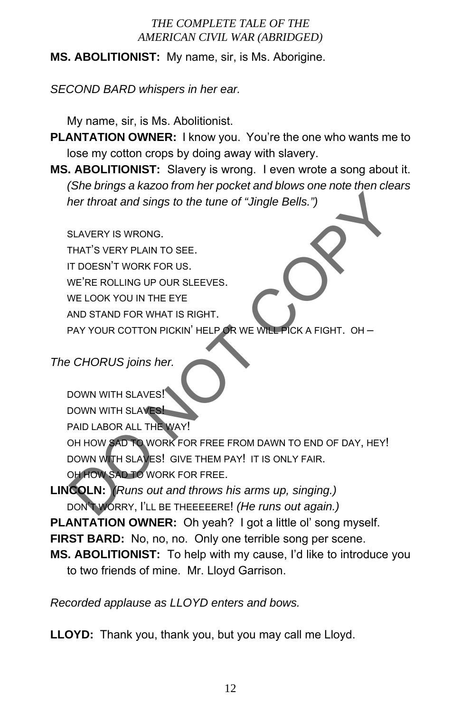**MS. ABOLITIONIST:** My name, sir, is Ms. Aborigine.

*SECOND BARD whispers in her ear.* 

My name, sir, is Ms. Abolitionist.

- **PLANTATION OWNER:** I know you. You're the one who wants me to lose my cotton crops by doing away with slavery.
- **MS. ABOLITIONIST:** Slavery is wrong. I even wrote a song about it. *(She brings a kazoo from her pocket and blows one note then clears her throat and sings to the tune of "Jingle Bells.")*

SLAVERY IS WRONG.

THAT'S VERY PLAIN TO SEE. IT DOESN'T WORK FOR US. WE'RE ROLLING UP OUR SLEEVES. WE LOOK YOU IN THE EYE AND STAND FOR WHAT IS RIGHT. PAY YOUR COTTON PICKIN' HELP OR WE WILL PICK A FIGHT. OH –

*The CHORUS joins her.* 

```
DOWN WITH SLAVES!
    DOWN WITH SLAVES!
    PAID LABOR ALL THE WAY! 
    OH HOW SAD TO WORK FOR FREE FROM DAWN TO END OF DAY, HEY!
    DOWN WITH SLAVES! GIVE THEM PAY! IT IS ONLY FAIR. 
    OH HOW SAD TO WORK FOR FREE. 
LINCOLN: (Runs out and throws his arms up, singing.) 
     Therefore and sings to the tune of "Jingle Bells.")<br>
SLAVERY IS WRONG.<br>
THAT'S VERY PLAIN TO SEE.<br>
IT DOESN'T WORK FOR US.<br>
ME'RE ROLLING UP OUR SLEEVES.<br>
NOT STAND FOR WHAT IS RIGHT.<br>
PAY YOUR COTTON PICKIN' HELP OR WE WI
```
DON'T WORRY, I'LL BE THEEEEERE! *(He runs out again.)* 

**PLANTATION OWNER:** Oh yeah? I got a little ol' song myself.

**FIRST BARD:** No, no, no. Only one terrible song per scene.

**MS. ABOLITIONIST:** To help with my cause, I'd like to introduce you to two friends of mine. Mr. Lloyd Garrison.

*Recorded applause as LLOYD enters and bows.* 

**LLOYD:** Thank you, thank you, but you may call me Lloyd.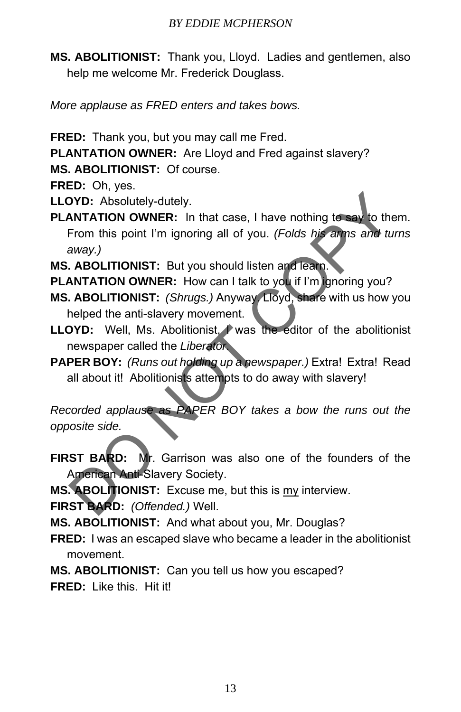**MS. ABOLITIONIST:** Thank you, Lloyd. Ladies and gentlemen, also help me welcome Mr. Frederick Douglass.

*More applause as FRED enters and takes bows.* 

**FRED:** Thank you, but you may call me Fred.

**PLANTATION OWNER:** Are Lloyd and Fred against slavery?

**MS. ABOLITIONIST:** Of course.

**FRED:** Oh, yes.

- **LLOYD:** Absolutely-dutely.
- **PLANTATION OWNER:** In that case, I have nothing to say to them. From this point I'm ignoring all of you. *(Folds his arms and turns away.)*  **EXECUTE:** Absolutely-dutely.<br> **ANTATION OWNER:** In that case, I have nothing to say to them<br>
From this point I'm ignoring all of you. (Folds his arms and turn<br>
away.)<br> **ABOLITIONIST:** But you should listen and learn.<br> **AR**
- **MS. ABOLITIONIST:** But you should listen and learn.
- **PLANTATION OWNER:** How can I talk to you if I'm ignoring you?
- **MS. ABOLITIONIST:** *(Shrugs.)* Anyway. Lloyd, share with us how you helped the anti-slavery movement.
- **LLOYD:** Well, Ms. Abolitionist, I was the editor of the abolitionist newspaper called the *Liberator*.
- **PAPER BOY:** *(Runs out holding up a newspaper.)* Extra! Extra! Read all about it! Abolitionists attempts to do away with slavery!

*Recorded applause as PAPER BOY takes a bow the runs out the opposite side.* 

- **FIRST BARD:** Mr. Garrison was also one of the founders of the American Anti-Slavery Society.
- **MS. ABOLITIONIST:** Excuse me, but this is my interview.

**FIRST BARD:** *(Offended.)* Well.

**MS. ABOLITIONIST:** And what about you, Mr. Douglas?

- **FRED:** I was an escaped slave who became a leader in the abolitionist movement.
- **MS. ABOLITIONIST:** Can you tell us how you escaped?

**FRED:** Like this. Hit it!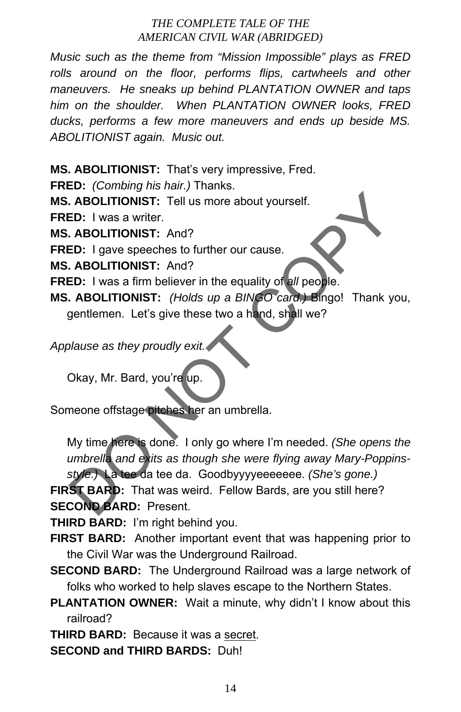*Music such as the theme from "Mission Impossible" plays as FRED rolls around on the floor, performs flips, cartwheels and other maneuvers. He sneaks up behind PLANTATION OWNER and taps him on the shoulder. When PLANTATION OWNER looks, FRED ducks, performs a few more maneuvers and ends up beside MS. ABOLITIONIST again. Music out.* 

**MS. ABOLITIONIST:** That's very impressive, Fred.

**FRED:** *(Combing his hair.)* Thanks.

**MS. ABOLITIONIST:** Tell us more about yourself.

**FRED:** I was a writer.

**MS. ABOLITIONIST:** And?

**FRED:** I gave speeches to further our cause.

**MS. ABOLITIONIST:** And?

**FRED:** I was a firm believer in the equality of *all* people.

**MS. ABOLITIONIST:** *(Holds up a BINGO card.)* Bingo! Thank you, gentlemen. Let's give these two a hand, shall we?

*Applause as they proudly exit.* 

Okay, Mr. Bard, you're up.

Someone offstage pitches her an umbrella.

My time here is done. I only go where I'm needed. *(She opens the umbrella and exits as though she were flying away Mary-Poppinsstyle.)* La tee da tee da. Goodbyyyyeeeeeee. *(She's gone.)*  ABOLITIONIST: Tell us more about yourself.<br>
ED: I was a writer.<br>
ABOLITIONIST: And?<br>
ED: I gave speeches to further our cause.<br>
ABOLITIONIST: And?<br>
ED: I was a firm believer in the equality of all people.<br>
ABOLITIONIST: (H

**FIRST BARD:** That was weird. Fellow Bards, are you still here? **SECOND BARD:** Present.

**THIRD BARD:** I'm right behind you.

**FIRST BARD:** Another important event that was happening prior to the Civil War was the Underground Railroad.

**SECOND BARD:** The Underground Railroad was a large network of folks who worked to help slaves escape to the Northern States.

**PLANTATION OWNER:** Wait a minute, why didn't I know about this railroad?

**THIRD BARD:** Because it was a secret.

**SECOND and THIRD BARDS:** Duh!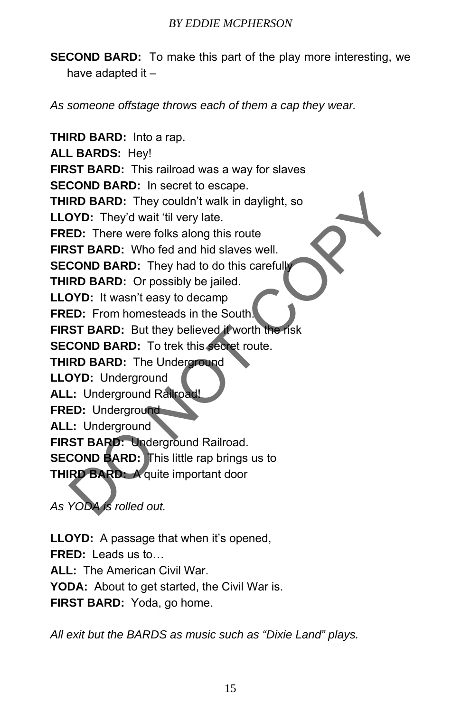**SECOND BARD:** To make this part of the play more interesting, we have adapted it –

*As someone offstage throws each of them a cap they wear.* 

**THIRD BARD:** Into a rap. **ALL BARDS:** Hey! **FIRST BARD:** This railroad was a way for slaves **SECOND BARD:** In secret to escape. **THIRD BARD:** They couldn't walk in daylight, so **LLOYD:** They'd wait 'til very late. **FRED:** There were folks along this route **FIRST BARD:** Who fed and hid slaves well. **SECOND BARD:** They had to do this carefully **THIRD BARD:** Or possibly be jailed. **LLOYD:** It wasn't easy to decamp **FRED:** From homesteads in the South. **FIRST BARD:** But they believed it worth the risk **SECOND BARD:** To trek this secret route. **THIRD BARD:** The Underground **LLOYD:** Underground **ALL:** Underground Railroad! **FRED:** Underground **ALL:** Underground **FIRST BARD: Underground Railroad. SECOND BARD:** This little rap brings us to **THIRD BARD:** A quite important door RD BARD: They couldn't walk in daylight, so<br>
ND: They'd wait 'til very late.<br>
ED: There were folks along this route<br>
ST BARD: Who fed and hid slaves well.<br>
COND BARD: Or possibly be jailed.<br>
ND BARD: Or possibly be jailed.

*As YODA is rolled out.* 

**LLOYD:** A passage that when it's opened, **FRED:** Leads us to… **ALL:** The American Civil War. **YODA:** About to get started, the Civil War is. **FIRST BARD:** Yoda, go home.

*All exit but the BARDS as music such as "Dixie Land" plays.*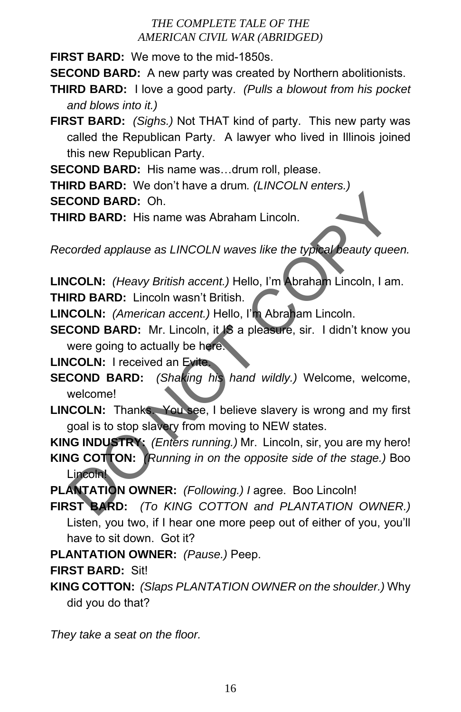**FIRST BARD:** We move to the mid-1850s.

**SECOND BARD:** A new party was created by Northern abolitionists.

- **THIRD BARD:** I love a good party. *(Pulls a blowout from his pocket and blows into it.)*
- **FIRST BARD:** *(Sighs.)* Not THAT kind of party. This new party was called the Republican Party. A lawyer who lived in Illinois joined this new Republican Party.

**SECOND BARD:** His name was…drum roll, please.

**THIRD BARD:** We don't have a drum*. (LINCOLN enters.)* **SECOND BARD:** Oh.

**THIRD BARD:** His name was Abraham Lincoln.

*Recorded applause as LINCOLN waves like the typical beauty queen.* 

**LINCOLN:** *(Heavy British accent.)* Hello, I'm Abraham Lincoln, I am. **THIRD BARD:** Lincoln wasn't British.

**LINCOLN:** *(American accent.)* Hello, I'm Abraham Lincoln.

**SECOND BARD:** Mr. Lincoln, it **IS** a pleasure, sir. I didn't know you were going to actually be here.

**LINCOLN:** I received an Evite.

- **SECOND BARD:** *(Shaking his hand wildly.)* Welcome, welcome, welcome!
- **LINCOLN:** Thanks. You see, I believe slavery is wrong and my first goal is to stop slavery from moving to NEW states.

**KING INDUSTRY:** *(Enters running.)* Mr. Lincoln, sir, you are my hero!

**KING COTTON:** *(Running in on the opposite side of the stage.)* Boo Lincoln! COND BARD: Oh.<br>
RD BARD: His name was Abraham Lincoln.<br>
Corded applause as LINCOLN waves like the typical beauty queen<br>
COLN: (Heavy British accent.) Hello, I'm Abraham Lincoln, I am.<br>
RD BARD: Lincoln wasn't British.<br>
COL

**PLANTATION OWNER:** *(Following.) I* agree. Boo Lincoln!

**FIRST BARD:** *(To KING COTTON and PLANTATION OWNER.)* Listen, you two, if I hear one more peep out of either of you, you'll have to sit down. Got it?

**PLANTATION OWNER:** *(Pause.)* Peep.

**FIRST BARD:** Sit!

**KING COTTON:** *(Slaps PLANTATION OWNER on the shoulder.)* Why did you do that?

*They take a seat on the floor.*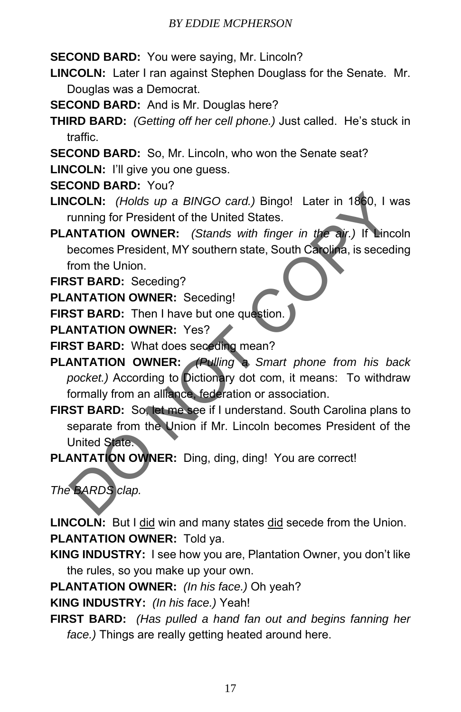**SECOND BARD:** You were saying, Mr. Lincoln?

- **LINCOLN:** Later I ran against Stephen Douglass for the Senate. Mr. Douglas was a Democrat.
- **SECOND BARD:** And is Mr. Douglas here?
- **THIRD BARD:** *(Getting off her cell phone.)* Just called. He's stuck in traffic.
- **SECOND BARD:** So, Mr. Lincoln, who won the Senate seat?
- **LINCOLN:** I'll give you one guess.
- **SECOND BARD:** You?
- **LINCOLN:** *(Holds up a BINGO card.)* Bingo! Later in 1860, I was running for President of the United States.
- **PLANTATION OWNER:** *(Stands with finger in the air.)* If Lincoln becomes President, MY southern state, South Carolina, is seceding from the Union.
- **FIRST BARD:** Seceding?
- **PLANTATION OWNER:** Seceding!
- **FIRST BARD:** Then I have but one question.
- **PLANTATION OWNER:** Yes?
- **FIRST BARD:** What does seceding mean?
- **PLANTATION OWNER:** *(Pulling a Smart phone from his back pocket.)* According to Dictionary dot com, it means: To withdraw formally from an alliance, federation or association. COLN: (Holds up a BINGO card.) Bingo! Later in 1860, I was<br>running for President of the United States.<br>
ANTATION OWNER: (Stands with finger in the air.) If Lincoln<br>
becomes President, MY southern state, South Carolina, is
- **FIRST BARD:** So, let me see if I understand. South Carolina plans to separate from the Union if Mr. Lincoln becomes President of the United State.
- **PLANTATION OWNER:** Ding, ding, ding! You are correct!

# *The BARDS clap.*

**LINCOLN:** But I did win and many states did secede from the Union. **PLANTATION OWNER:** Told ya.

- **KING INDUSTRY:** I see how you are, Plantation Owner, you don't like the rules, so you make up your own.
- **PLANTATION OWNER:** *(In his face.)* Oh yeah?
- **KING INDUSTRY:** *(In his face.)* Yeah!
- **FIRST BARD:** *(Has pulled a hand fan out and begins fanning her face.)* Things are really getting heated around here.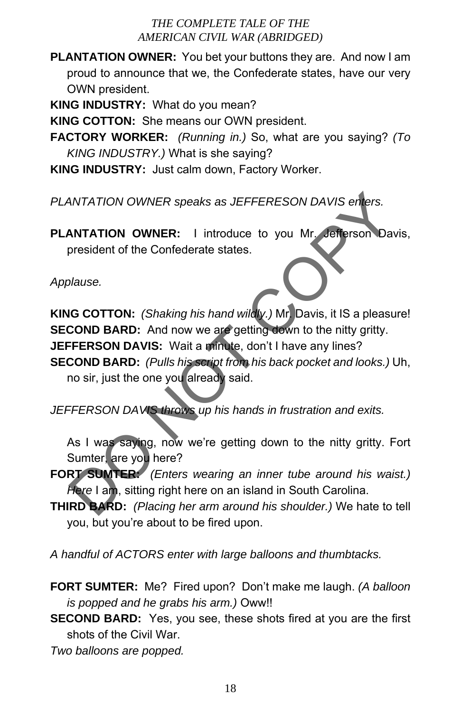**PLANTATION OWNER:** You bet your buttons they are. And now I am proud to announce that we, the Confederate states, have our very OWN president.

**KING INDUSTRY:** What do you mean?

**KING COTTON:** She means our OWN president.

**FACTORY WORKER:** *(Running in.)* So, what are you saying? *(To KING INDUSTRY.)* What is she saying?

**KING INDUSTRY:** Just calm down, Factory Worker.

*PLANTATION OWNER speaks as JEFFERESON DAVIS enters.* 

**PLANTATION OWNER:** I introduce to you Mr. Jefferson Davis, president of the Confederate states.

*Applause.* 

**KING COTTON:** *(Shaking his hand wildly.)* Mr. Davis, it IS a pleasure! **SECOND BARD:** And now we are getting down to the nitty gritty. **JEFFERSON DAVIS:** Wait a minute, don't I have any lines? **SECOND BARD:** *(Pulls his script from his back pocket and looks.)* Uh, WINTATION OWNER speaks as JEFFERESON DAVIS enters.<br>
NATATION OWNER: I introduce to you Mr. Jefferson Davis<br>
president of the Confederate states.<br>
Dlause.<br>
Dlause.<br>
Dlause.<br>
Dlause.<br>
COND BARD: And now we are getting down t

no sir, just the one you already said.

*JEFFERSON DAVIS throws up his hands in frustration and exits.* 

As I was saying, now we're getting down to the nitty gritty. Fort Sumter, are you here?

**FORT SUMTER:** *(Enters wearing an inner tube around his waist.) Here* I am, sitting right here on an island in South Carolina.

**THIRD BARD:** *(Placing her arm around his shoulder.)* We hate to tell you, but you're about to be fired upon.

*A handful of ACTORS enter with large balloons and thumbtacks.* 

**FORT SUMTER:** Me? Fired upon? Don't make me laugh. *(A balloon is popped and he grabs his arm.)* Oww!!

**SECOND BARD:** Yes, you see, these shots fired at you are the first shots of the Civil War.

*Two balloons are popped.*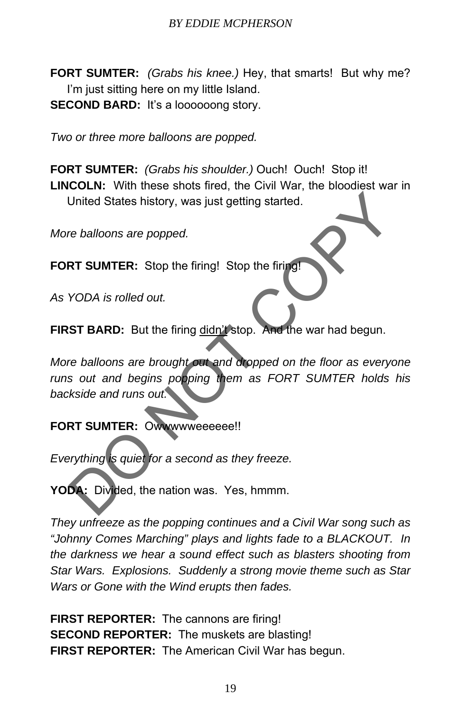**FORT SUMTER:** *(Grabs his knee.)* Hey, that smarts! But why me? I'm just sitting here on my little Island. **SECOND BARD:** It's a loooooong story.

*Two or three more balloons are popped.* 

**FORT SUMTER:** *(Grabs his shoulder.)* Ouch! Ouch! Stop it! **LINCOLN:** With these shots fired, the Civil War, the bloodiest war in United States history, was just getting started.

*More balloons are popped.* 

**FORT SUMTER:** Stop the firing! Stop the firing!

*As YODA is rolled out.* 

**FIRST BARD:** But the firing didn't stop. And the war had begun.

*More balloons are brought out and dropped on the floor as everyone runs out and begins popping them as FORT SUMTER holds his backside and runs out.*  United States history, was just getting started.<br>
The balloons are popped.<br>
RT SUMTER: Stop the firing! Stop the firing!<br>
YODA is rolled out.<br>
ST BARD: But the firing didn't stop. And the war had begun.<br>
THERE SUMTER is a

## **FORT SUMTER:** Owwwwweeeeee!!

*Everything is quiet for a second as they freeze.* 

**YODA:** Divided, the nation was. Yes, hmmm.

*They unfreeze as the popping continues and a Civil War song such as "Johnny Comes Marching" plays and lights fade to a BLACKOUT. In the darkness we hear a sound effect such as blasters shooting from Star Wars. Explosions. Suddenly a strong movie theme such as Star Wars or Gone with the Wind erupts then fades.* 

**FIRST REPORTER:** The cannons are firing! **SECOND REPORTER:** The muskets are blasting! **FIRST REPORTER:** The American Civil War has begun.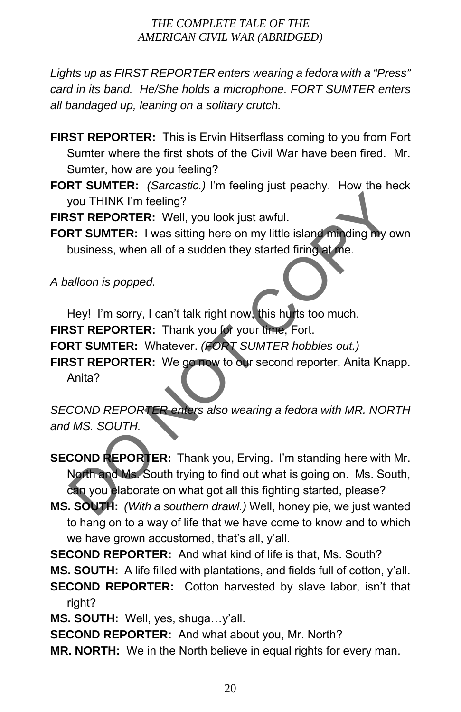*Lights up as FIRST REPORTER enters wearing a fedora with a "Press" card in its band. He/She holds a microphone. FORT SUMTER enters all bandaged up, leaning on a solitary crutch.* 

- **FIRST REPORTER:** This is Ervin Hitserflass coming to you from Fort Sumter where the first shots of the Civil War have been fired. Mr. Sumter, how are you feeling?
- **FORT SUMTER:** *(Sarcastic.)* I'm feeling just peachy. How the heck you THINK I'm feeling?

**FIRST REPORTER:** Well, you look just awful.

**FORT SUMTER:** I was sitting here on my little island minding my own business, when all of a sudden they started firing at me.

*A balloon is popped.* 

Hey! I'm sorry, I can't talk right now, this hurts too much.

**FIRST REPORTER:** Thank you for your time, Fort.

**FORT SUMTER:** Whatever. *(FORT SUMTER hobbles out.)*

**FIRST REPORTER:** We go now to our second reporter, Anita Knapp.

Anita?

*SECOND REPORTER enters also wearing a fedora with MR. NORTH and MS. SOUTH.* 

**SECOND REPORTER:** Thank you, Erving. I'm standing here with Mr. North and Ms. South trying to find out what is going on. Ms. South, can you elaborate on what got all this fighting started, please? SOMITHINK I'm feeling?<br>
ST REPORTER: Well, you look just awful.<br>
RT SUMTER: I was sitting here on my little island munding my own<br>
business, when all of a sudden they started firing at the.<br>
Alloon is popped.<br>
Hey! I'm sor

**MS. SOUTH:** *(With a southern drawl.)* Well, honey pie, we just wanted to hang on to a way of life that we have come to know and to which we have grown accustomed, that's all, y'all.

**SECOND REPORTER:** And what kind of life is that, Ms. South? **MS. SOUTH:** A life filled with plantations, and fields full of cotton, y'all. **SECOND REPORTER:** Cotton harvested by slave labor, isn't that right?

**MS. SOUTH:** Well, yes, shuga…y'all.

**SECOND REPORTER:** And what about you, Mr. North?

**MR. NORTH:** We in the North believe in equal rights for every man.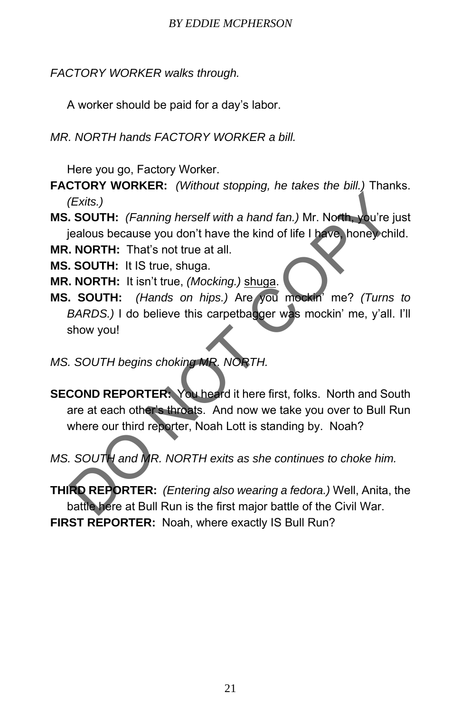#### *BY EDDIE MCPHERSON*

*FACTORY WORKER walks through.* 

A worker should be paid for a day's labor.

*MR. NORTH hands FACTORY WORKER a bill.* 

Here you go, Factory Worker.

**FACTORY WORKER:** *(Without stopping, he takes the bill.)* Thanks. *(Exits.)* 

**MS. SOUTH:** *(Fanning herself with a hand fan.)* Mr. North, you're just jealous because you don't have the kind of life I have, honey child.

**MR. NORTH:** That's not true at all.

**MS. SOUTH:** It IS true, shuga.

**MR. NORTH:** It isn't true, *(Mocking.)* shuga.

**MS. SOUTH:** *(Hands on hips.)* Are you mockin' me? *(Turns to BARDS.)* I do believe this carpetbagger was mockin' me, y'all. I'll show you!

## *MS. SOUTH begins choking MR. NORTH.*

**SECOND REPORTER:** You heard it here first, folks. North and South are at each other's throats. And now we take you over to Bull Run where our third reporter, Noah Lott is standing by. Noah? (Exits.)<br>
SOUTH: (Fanning herself with a hand fan.) Mr. North, you're just<br>
cialous because you don't have the kind of life I have, honey child<br> **NORTH:** That's not true at all.<br>
SOUTH: It is true, (Mocking.) shuga.<br>
SOUTH

*MS. SOUTH and MR. NORTH exits as she continues to choke him.* 

**THIRD REPORTER:** *(Entering also wearing a fedora.)* Well, Anita, the battle here at Bull Run is the first major battle of the Civil War. **FIRST REPORTER:** Noah, where exactly IS Bull Run?